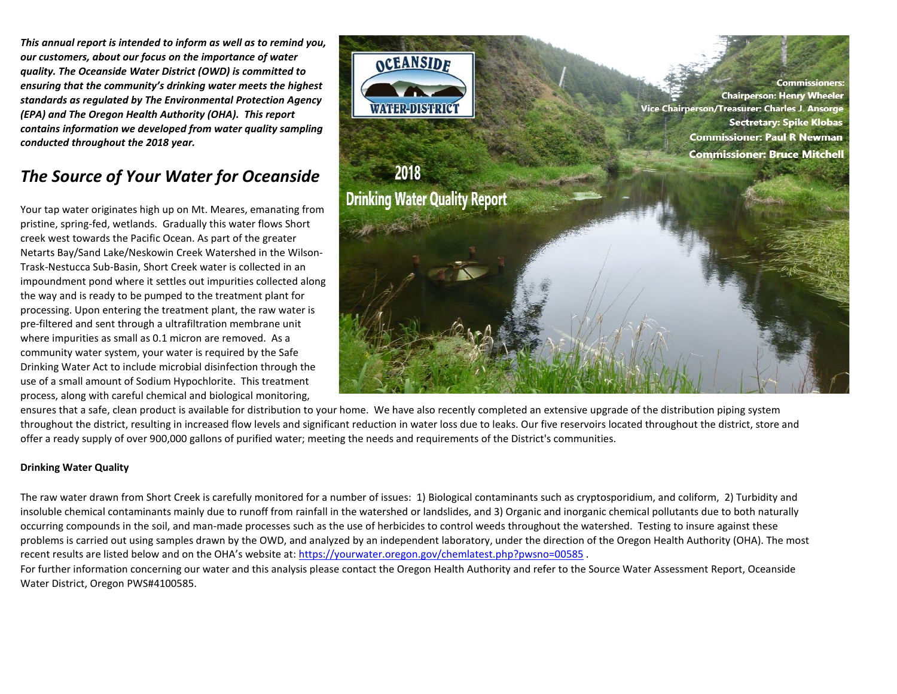*This annual report is intended to inform as well as to remind you, our customers, about our focus on the importance of water quality. The Oceanside Water District (OWD) is committed to ensuring that the community's drinking water meets the highest standards as regulated by The Environmental Protection Agency (EPA) and The Oregon Health Authority (OHA). This report contains information we developed from water quality sampling conducted throughout the 2018 year.* 

# *The Source of Your Water for Oceanside*

Your tap water originates high up on Mt. Meares, emanating from pristine, spring-fed, wetlands. Gradually this water flows Short creek west towards the Pacific Ocean. As part of the greater Netarts Bay/Sand Lake/Neskowin Creek Watershed in the Wilson-Trask-Nestucca Sub-Basin, Short Creek water is collected in an impoundment pond where it settles out impurities collected along the way and is ready to be pumped to the treatment plant for processing. Upon entering the treatment plant, the raw water is pre-filtered and sent through a ultrafiltration membrane unit where impurities as small as 0.1 micron are removed. As a community water system, your water is required by the Safe Drinking Water Act to include microbial disinfection through the use of a small amount of Sodium Hypochlorite. This treatment process, along with careful chemical and biological monitoring,



ensures that a safe, clean product is available for distribution to your home. We have also recently completed an extensive upgrade of the distribution piping system throughout the district, resulting in increased flow levels and significant reduction in water loss due to leaks. Our five reservoirs located throughout the district, store and offer a ready supply of over 900,000 gallons of purified water; meeting the needs and requirements of the District's communities.

## **Drinking Water Quality**

The raw water drawn from Short Creek is carefully monitored for a number of issues: 1) Biological contaminants such as cryptosporidium, and coliform, 2) Turbidity and insoluble chemical contaminants mainly due to runoff from rainfall in the watershed or landslides, and 3) Organic and inorganic chemical pollutants due to both naturally occurring compounds in the soil, and man-made processes such as the use of herbicides to control weeds throughout the watershed. Testing to insure against these problems is carried out using samples drawn by the OWD, and analyzed by an independent laboratory, under the direction of the Oregon Health Authority (OHA). The most recent results are listed below and on the OHA's website at:<https://yourwater.oregon.gov/chemlatest.php?pwsno=00585>

For further information concerning our water and this analysis please contact the Oregon Health Authority and refer to the Source Water Assessment Report, Oceanside Water District, Oregon PWS#4100585.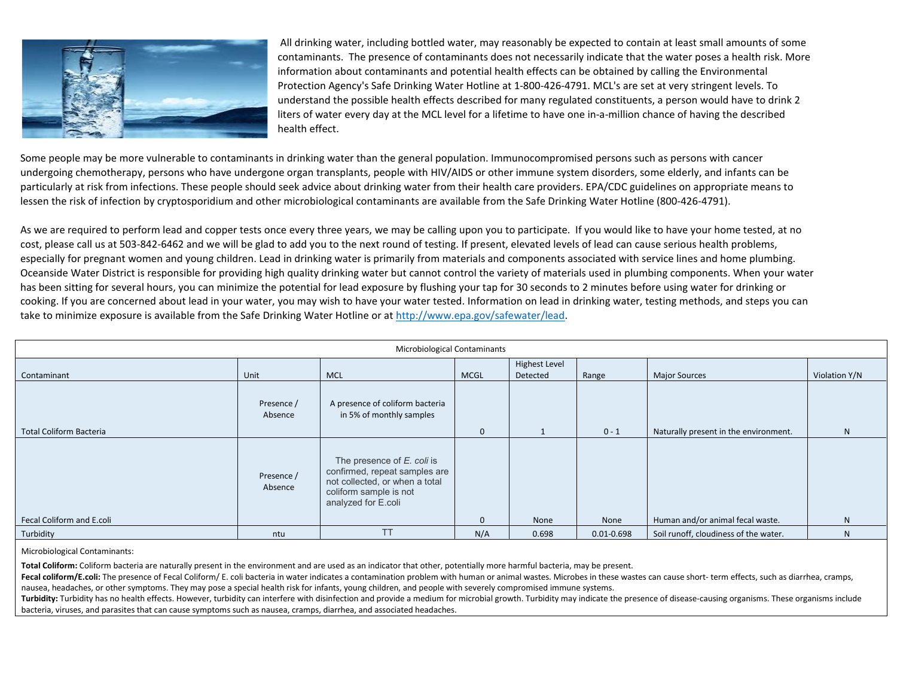

All drinking water, including bottled water, may reasonably be expected to contain at least small amounts of some contaminants. The presence of contaminants does not necessarily indicate that the water poses a health risk. More information about contaminants and potential health effects can be obtained by calling the Environmental Protection Agency's Safe Drinking Water Hotline at 1-800-426-4791. MCL's are set at very stringent levels. To understand the possible health effects described for many regulated constituents, a person would have to drink 2 liters of water every day at the MCL level for a lifetime to have one in-a-million chance of having the described health effect.

Some people may be more vulnerable to contaminants in drinking water than the general population. Immunocompromised persons such as persons with cancer undergoing chemotherapy, persons who have undergone organ transplants, people with HIV/AIDS or other immune system disorders, some elderly, and infants can be particularly at risk from infections. These people should seek advice about drinking water from their health care providers. EPA/CDC guidelines on appropriate means to lessen the risk of infection by cryptosporidium and other microbiological contaminants are available from the Safe Drinking Water Hotline (800-426-4791).

As we are required to perform lead and copper tests once every three years, we may be calling upon you to participate. If you would like to have your home tested, at no cost, please call us at 503-842-6462 and we will be glad to add you to the next round of testing. If present, elevated levels of lead can cause serious health problems, especially for pregnant women and young children. Lead in drinking water is primarily from materials and components associated with service lines and home plumbing. Oceanside Water District is responsible for providing high quality drinking water but cannot control the variety of materials used in plumbing components. When your water has been sitting for several hours, you can minimize the potential for lead exposure by flushing your tap for 30 seconds to 2 minutes before using water for drinking or cooking. If you are concerned about lead in your water, you may wish to have your water tested. Information on lead in drinking water, testing methods, and steps you can take to minimize exposure is available from the Safe Drinking Water Hotline or a[t http://www.epa.gov/safewater/lead.](http://www.epa.gov/safewater/lead)

| Microbiological Contaminants   |                       |                                                                                                                                                |              |                      |                |                                       |               |  |
|--------------------------------|-----------------------|------------------------------------------------------------------------------------------------------------------------------------------------|--------------|----------------------|----------------|---------------------------------------|---------------|--|
|                                |                       |                                                                                                                                                |              | <b>Highest Level</b> |                |                                       |               |  |
| Contaminant                    | Unit                  | <b>MCL</b>                                                                                                                                     | <b>MCGL</b>  | Detected             | Range          | <b>Major Sources</b>                  | Violation Y/N |  |
|                                | Presence /<br>Absence | A presence of coliform bacteria<br>in 5% of monthly samples                                                                                    |              |                      |                |                                       |               |  |
| <b>Total Coliform Bacteria</b> |                       |                                                                                                                                                | $\mathbf{0}$ |                      | $0 - 1$        | Naturally present in the environment. | N             |  |
|                                | Presence /<br>Absence | The presence of E. coli is<br>confirmed, repeat samples are<br>not collected, or when a total<br>coliform sample is not<br>analyzed for E.coli |              |                      |                |                                       |               |  |
| Fecal Coliform and E.coli      |                       |                                                                                                                                                | $\Omega$     | None                 | None           | Human and/or animal fecal waste.      | N             |  |
| Turbidity                      | ntu                   | TT.                                                                                                                                            | N/A          | 0.698                | $0.01 - 0.698$ | Soil runoff, cloudiness of the water. | N             |  |

Microbiological Contaminants:

**Total Coliform:** Coliform bacteria are naturally present in the environment and are used as an indicator that other, potentially more harmful bacteria, may be present.

Fecal coliform/E.coli: The presence of Fecal Coliform/E. coli bacteria in water indicates a contamination problem with human or animal wastes. Microbes in these wastes can cause short-term effects, such as diarrhea, cramps nausea, headaches, or other symptoms. They may pose a special health risk for infants, young children, and people with severely compromised immune systems.

Turbidity: Turbidity has no health effects. However, turbidity can interfere with disinfection and provide a medium for microbial growth. Turbidity may indicate the presence of disease-causing organisms. These organisms in bacteria, viruses, and parasites that can cause symptoms such as nausea, cramps, diarrhea, and associated headaches.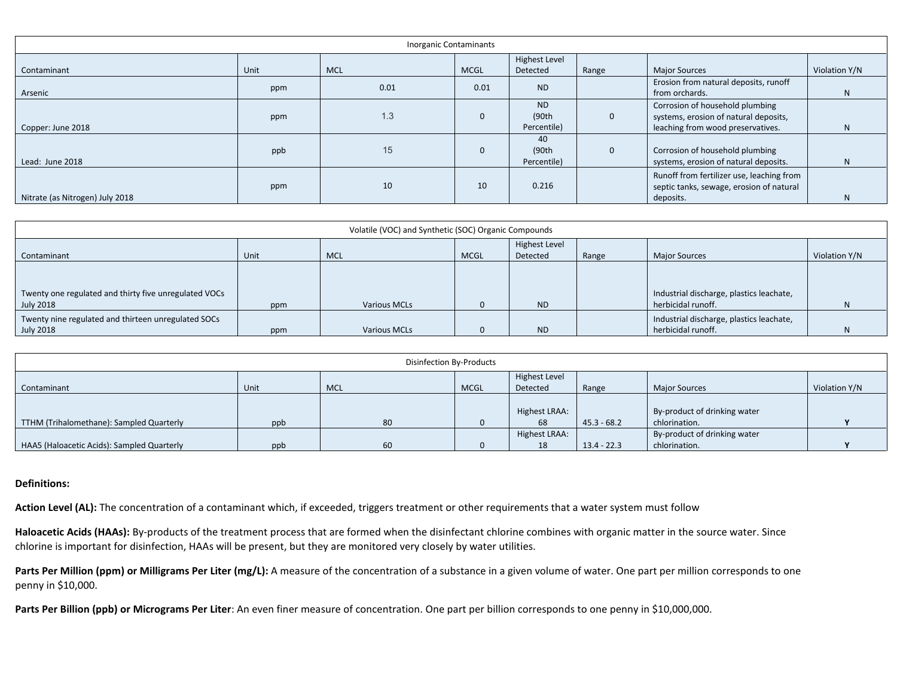| <b>Inorganic Contaminants</b>   |      |                 |             |                                    |              |                                                                                                               |               |  |
|---------------------------------|------|-----------------|-------------|------------------------------------|--------------|---------------------------------------------------------------------------------------------------------------|---------------|--|
| Contaminant                     | Unit | <b>MCL</b>      | <b>MCGL</b> | <b>Highest Level</b><br>Detected   | Range        | <b>Major Sources</b>                                                                                          | Violation Y/N |  |
| Arsenic                         | ppm  | 0.01            | 0.01        | <b>ND</b>                          |              | Erosion from natural deposits, runoff<br>from orchards.                                                       | N.            |  |
| Copper: June 2018               | ppm  | 1.3             | $\Omega$    | <b>ND</b><br>(90th)<br>Percentile) | $\mathbf{0}$ | Corrosion of household plumbing<br>systems, erosion of natural deposits,<br>leaching from wood preservatives. | N.            |  |
| Lead: June 2018                 | ppb  | 15 <sup>°</sup> | $\Omega$    | 40<br>(90th)<br>Percentile)        | $\mathbf{0}$ | Corrosion of household plumbing<br>systems, erosion of natural deposits.                                      | N             |  |
| Nitrate (as Nitrogen) July 2018 | ppm  | 10              | 10          | 0.216                              |              | Runoff from fertilizer use, leaching from<br>septic tanks, sewage, erosion of natural<br>deposits.            | N             |  |

| Volatile (VOC) and Synthetic (SOC) Organic Compounds               |      |                     |             |                                  |       |                                                                |               |  |
|--------------------------------------------------------------------|------|---------------------|-------------|----------------------------------|-------|----------------------------------------------------------------|---------------|--|
| Contaminant                                                        | Unit | <b>MCL</b>          | <b>MCGL</b> | <b>Highest Level</b><br>Detected | Range | <b>Major Sources</b>                                           | Violation Y/N |  |
| Twenty one regulated and thirty five unregulated VOCs<br>July 2018 | ppm  | <b>Various MCLs</b> |             | <b>ND</b>                        |       | Industrial discharge, plastics leachate,<br>herbicidal runoff. |               |  |
| Twenty nine regulated and thirteen unregulated SOCs<br>July 2018   | ppm  | <b>Various MCLs</b> |             | <b>ND</b>                        |       | Industrial discharge, plastics leachate,<br>herbicidal runoff. |               |  |

| Disinfection By-Products                   |      |            |             |                      |               |                              |               |  |
|--------------------------------------------|------|------------|-------------|----------------------|---------------|------------------------------|---------------|--|
|                                            |      |            |             | <b>Highest Level</b> |               |                              |               |  |
| Contaminant                                | Unit | <b>MCL</b> | <b>MCGL</b> | Detected             | Range         | <b>Major Sources</b>         | Violation Y/N |  |
|                                            |      |            |             |                      |               |                              |               |  |
|                                            |      |            |             | Highest LRAA:        |               | By-product of drinking water |               |  |
| TTHM (Trihalomethane): Sampled Quarterly   | ppb  | 80         |             | 68                   | $45.3 - 68.2$ | chlorination.                |               |  |
|                                            |      |            |             | Highest LRAA:        |               | By-product of drinking water |               |  |
| HAA5 (Haloacetic Acids): Sampled Quarterly | ppb  | 60         |             | 18                   | $13.4 - 22.3$ | chlorination.                |               |  |

## **Definitions:**

Action Level (AL): The concentration of a contaminant which, if exceeded, triggers treatment or other requirements that a water system must follow

**Haloacetic Acids (HAAs):** By-products of the treatment process that are formed when the disinfectant chlorine combines with organic matter in the source water. Since chlorine is important for disinfection, HAAs will be present, but they are monitored very closely by water utilities.

Parts Per Million (ppm) or Milligrams Per Liter (mg/L): A measure of the concentration of a substance in a given volume of water. One part per million corresponds to one penny in \$10,000.

**Parts Per Billion (ppb) or Micrograms Per Liter**: An even finer measure of concentration. One part per billion corresponds to one penny in \$10,000,000.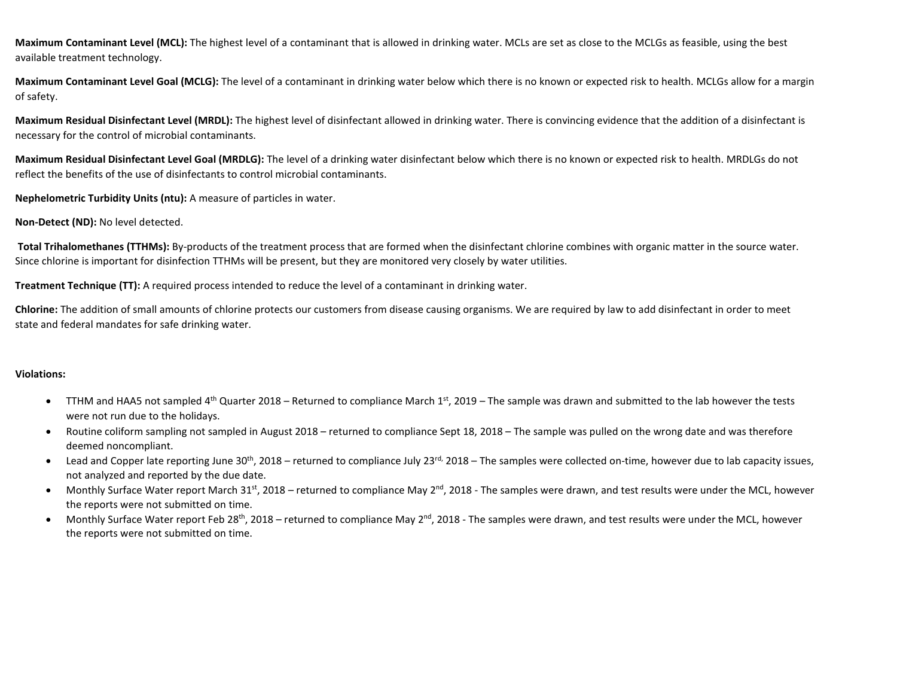**Maximum Contaminant Level (MCL):** The highest level of a contaminant that is allowed in drinking water. MCLs are set as close to the MCLGs as feasible, using the best available treatment technology.

**Maximum Contaminant Level Goal (MCLG):** The level of a contaminant in drinking water below which there is no known or expected risk to health. MCLGs allow for a margin of safety.

**Maximum Residual Disinfectant Level (MRDL):** The highest level of disinfectant allowed in drinking water. There is convincing evidence that the addition of a disinfectant is necessary for the control of microbial contaminants.

**Maximum Residual Disinfectant Level Goal (MRDLG):** The level of a drinking water disinfectant below which there is no known or expected risk to health. MRDLGs do not reflect the benefits of the use of disinfectants to control microbial contaminants.

**Nephelometric Turbidity Units (ntu):** A measure of particles in water.

## **Non-Detect (ND):** No level detected.

**Total Trihalomethanes (TTHMs):** By-products of the treatment process that are formed when the disinfectant chlorine combines with organic matter in the source water. Since chlorine is important for disinfection TTHMs will be present, but they are monitored very closely by water utilities.

**Treatment Technique (TT):** A required process intended to reduce the level of a contaminant in drinking water.

**Chlorine:** The addition of small amounts of chlorine protects our customers from disease causing organisms. We are required by law to add disinfectant in order to meet state and federal mandates for safe drinking water.

## **Violations:**

- TTHM and HAA5 not sampled 4<sup>th</sup> Quarter 2018 Returned to compliance March 1<sup>st</sup>, 2019 The sample was drawn and submitted to the lab however the tests were not run due to the holidays.
- Routine coliform sampling not sampled in August 2018 returned to compliance Sept 18, 2018 The sample was pulled on the wrong date and was therefore deemed noncompliant.
- Lead and Copper late reporting June  $30<sup>th</sup>$ , 2018 returned to compliance July 23<sup>rd,</sup> 2018 The samples were collected on-time, however due to lab capacity issues, not analyzed and reported by the due date.
- Monthly Surface Water report March 31st, 2018 returned to compliance May  $2^{nd}$ , 2018 The samples were drawn, and test results were under the MCL, however the reports were not submitted on time.
- Monthly Surface Water report Feb 28<sup>th</sup>, 2018 returned to compliance May 2<sup>nd</sup>, 2018 The samples were drawn, and test results were under the MCL, however the reports were not submitted on time.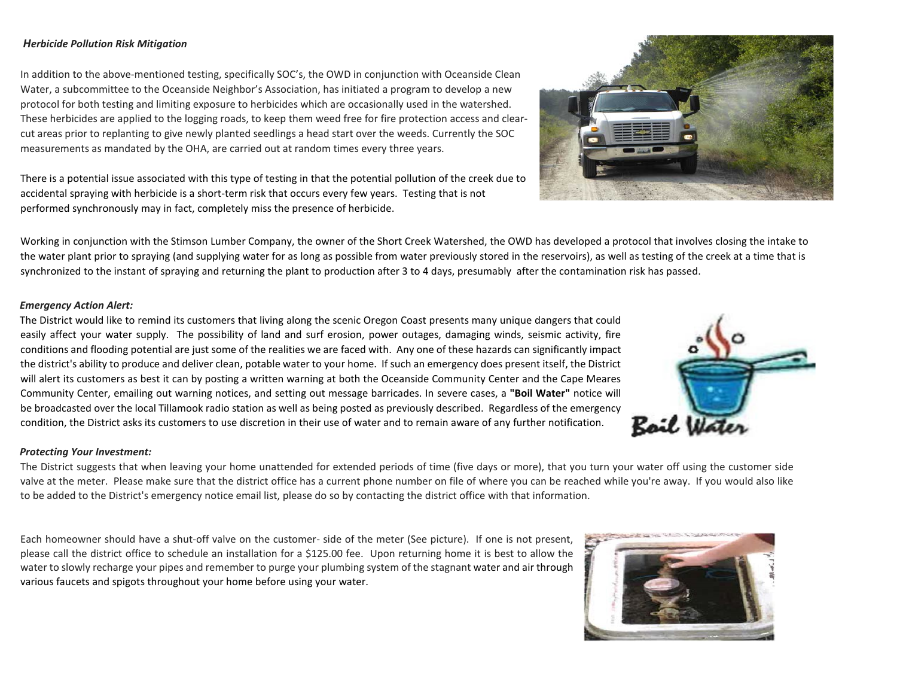## *Herbicide Pollution Risk Mitigation*

In addition to the above-mentioned testing, specifically SOC's, the OWD in conjunction with Oceanside Clean Water, a subcommittee to the Oceanside Neighbor's Association, has initiated a program to develop a new protocol for both testing and limiting exposure to herbicides which are occasionally used in the watershed. These herbicides are applied to the logging roads, to keep them weed free for fire protection access and clearcut areas prior to replanting to give newly planted seedlings a head start over the weeds. Currently the SOC measurements as mandated by the OHA, are carried out at random times every three years.

There is a potential issue associated with this type of testing in that the potential pollution of the creek due to accidental spraying with herbicide is a short-term risk that occurs every few years. Testing that is not performed synchronously may in fact, completely miss the presence of herbicide.



#### *Emergency Action Alert:*

The District would like to remind its customers that living along the scenic Oregon Coast presents many unique dangers that could easily affect your water supply. The possibility of land and surf erosion, power outages, damaging winds, seismic activity, fire conditions and flooding potential are just some of the realities we are faced with. Any one of these hazards can significantly impact the district's ability to produce and deliver clean, potable water to your home. If such an emergency does present itself, the District will alert its customers as best it can by posting a written warning at both the Oceanside Community Center and the Cape Meares Community Center, emailing out warning notices, and setting out message barricades. In severe cases, a **"Boil Water"** notice will be broadcasted over the local Tillamook radio station as well as being posted as previously described. Regardless of the emergency condition, the District asks its customers to use discretion in their use of water and to remain aware of any further notification.



#### *Protecting Your Investment:*

The District suggests that when leaving your home unattended for extended periods of time (five days or more), that you turn your water off using the customer side valve at the meter. Please make sure that the district office has a current phone number on file of where you can be reached while you're away. If you would also like to be added to the District's emergency notice email list, please do so by contacting the district office with that information.

Each homeowner should have a shut-off valve on the customer- side of the meter (See picture). If one is not present, please call the district office to schedule an installation for a \$125.00 fee. Upon returning home it is best to allow the water to slowly recharge your pipes and remember to purge your plumbing system of the stagnant water and air through various faucets and spigots throughout your home before using your water.